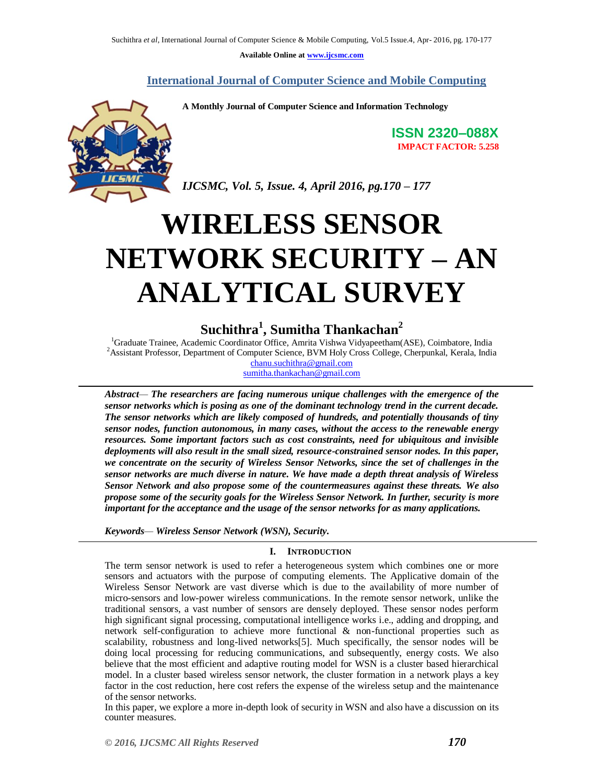**Available Online at [www.ijcsmc.com](http://www.ijcsmc.com/)**

 **International Journal of Computer Science and Mobile Computing**

**A Monthly Journal of Computer Science and Information Technology**



**ISSN 2320–088X IMPACT FACTOR: 5.258**

*IJCSMC, Vol. 5, Issue. 4, April 2016, pg.170 – 177*

# **WIRELESS SENSOR NETWORK SECURITY – AN ANALYTICAL SURVEY**

# **Suchithra<sup>1</sup> , Sumitha Thankachan<sup>2</sup>**

<sup>1</sup>Graduate Trainee, Academic Coordinator Office, Amrita Vishwa Vidyapeetham(ASE), Coimbatore, India <sup>2</sup>Assistant Professor, Department of Computer Science, BVM Holy Cross College, Cherpunkal, Kerala, India [chanu.suchithra@gmail.com](mailto:chanu.suchithra@gmail.com)

sumitha.thankachan@gmail.com

*Abstract— The researchers are facing numerous unique challenges with the emergence of the sensor networks which is posing as one of the dominant technology trend in the current decade. The sensor networks which are likely composed of hundreds, and potentially thousands of tiny sensor nodes, function autonomous, in many cases, without the access to the renewable energy resources. Some important factors such as cost constraints, need for ubiquitous and invisible deployments will also result in the small sized, resource-constrained sensor nodes. In this paper, we concentrate on the security of Wireless Sensor Networks, since the set of challenges in the sensor networks are much diverse in nature. We have made a depth threat analysis of Wireless Sensor Network and also propose some of the countermeasures against these threats. We also propose some of the security goals for the Wireless Sensor Network. In further, security is more important for the acceptance and the usage of the sensor networks for as many applications.* 

*Keywords— Wireless Sensor Network (WSN), Security.*

# **I. INTRODUCTION**

The term sensor network is used to refer a heterogeneous system which combines one or more sensors and actuators with the purpose of computing elements. The Applicative domain of the Wireless Sensor Network are vast diverse which is due to the availability of more number of micro-sensors and low-power wireless communications. In the remote sensor network, unlike the traditional sensors, a vast number of sensors are densely deployed. These sensor nodes perform high significant signal processing, computational intelligence works i.e., adding and dropping, and network self-configuration to achieve more functional & non-functional properties such as scalability, robustness and long-lived networks[5]. Much specifically, the sensor nodes will be doing local processing for reducing communications, and subsequently, energy costs. We also believe that the most efficient and adaptive routing model for WSN is a cluster based hierarchical model. In a cluster based wireless sensor network, the cluster formation in a network plays a key factor in the cost reduction, here cost refers the expense of the wireless setup and the maintenance of the sensor networks.

In this paper, we explore a more in-depth look of security in WSN and also have a discussion on its counter measures.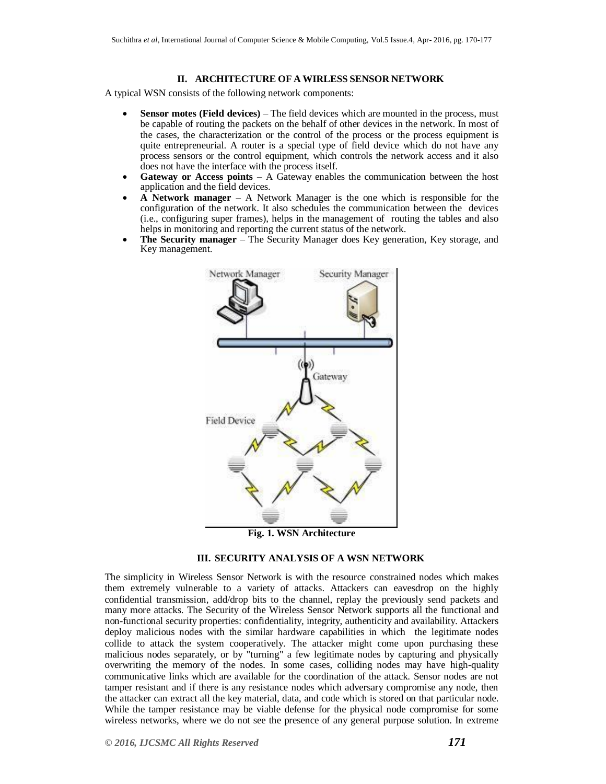#### **II. ARCHITECTURE OF A WIRLESS SENSOR NETWORK**

A typical WSN consists of the following network components:

- **Sensor motes (Field devices)** The field devices which are mounted in the process, must be capable of routing the packets on the behalf of other devices in the network. In most of the cases, the characterization or the control of the process or the process equipment is quite entrepreneurial. A router is a special type of field device which do not have any process sensors or the control equipment, which controls the network access and it also does not have the interface with the process itself.
- **Gateway or Access points**  A Gateway enables the communication between the host application and the field devices.
- **A Network manager**  A Network Manager is the one which is responsible for the configuration of the network. It also schedules the communication between the devices (i.e., configuring super frames), helps in the management of routing the tables and also helps in monitoring and reporting the current status of the network.
- **The Security manager** The Security Manager does Key generation, Key storage, and Key management.





#### **III. SECURITY ANALYSIS OF A WSN NETWORK**

The simplicity in Wireless Sensor Network is with the resource constrained nodes which makes them extremely vulnerable to a variety of attacks. Attackers can eavesdrop on the highly confidential transmission, add/drop bits to the channel, replay the previously send packets and many more attacks. The Security of the Wireless Sensor Network supports all the functional and non-functional security properties: confidentiality, integrity, authenticity and availability. Attackers deploy malicious nodes with the similar hardware capabilities in which the legitimate nodes collide to attack the system cooperatively. The attacker might come upon purchasing these malicious nodes separately, or by "turning" a few legitimate nodes by capturing and physically overwriting the memory of the nodes. In some cases, colliding nodes may have high-quality communicative links which are available for the coordination of the attack. Sensor nodes are not tamper resistant and if there is any resistance nodes which adversary compromise any node, then the attacker can extract all the key material, data, and code which is stored on that particular node. While the tamper resistance may be viable defense for the physical node compromise for some wireless networks, where we do not see the presence of any general purpose solution. In extreme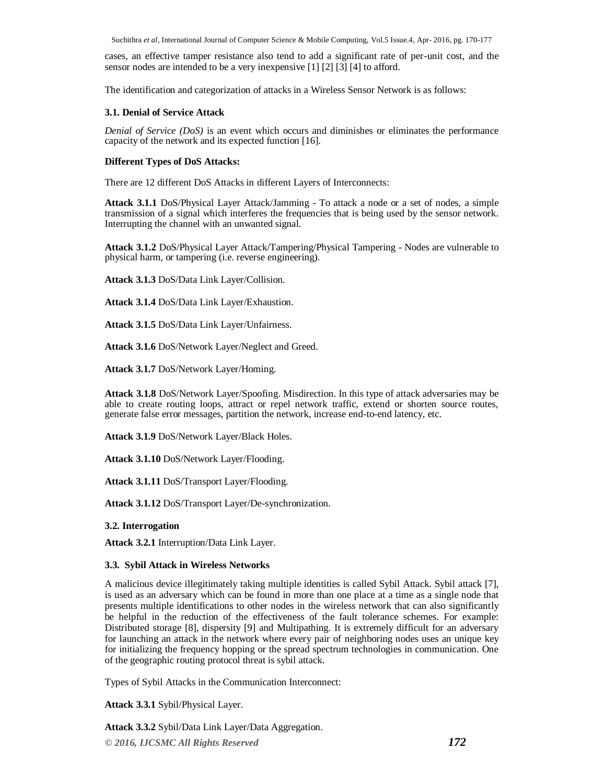Suchithra *et al*, International Journal of Computer Science & Mobile Computing, Vol.5 Issue.4, Apr- 2016, pg. 170-177

cases, an effective tamper resistance also tend to add a significant rate of per-unit cost, and the sensor nodes are intended to be a very inexpensive [1] [2] [3] [4] to afford.

The identification and categorization of attacks in a Wireless Sensor Network is as follows:

## **3.1. Denial of Service Attack**

*Denial of Service (DoS)* is an event which occurs and diminishes or eliminates the performance capacity of the network and its expected function [16].

#### **Different Types of DoS Attacks:**

There are 12 different DoS Attacks in different Layers of Interconnects:

**Attack 3.1.1** DoS/Physical Layer Attack/Jamming - To attack a node or a set of nodes, a simple transmission of a signal which interferes the frequencies that is being used by the sensor network. Interrupting the channel with an unwanted signal.

**Attack 3.1.2** DoS/Physical Layer Attack/Tampering/Physical Tampering - Nodes are vulnerable to physical harm, or tampering (i.e. reverse engineering).

**Attack 3.1.3** DoS/Data Link Layer/Collision.

**Attack 3.1.4** DoS/Data Link Layer/Exhaustion.

**Attack 3.1.5** DoS/Data Link Layer/Unfairness.

**Attack 3.1.6** DoS/Network Layer/Neglect and Greed.

**Attack 3.1.7** DoS/Network Layer/Homing.

**Attack 3.1.8** DoS/Network Layer/Spoofing. Misdirection. In this type of attack adversaries may be able to create routing loops, attract or repel network traffic, extend or shorten source routes, generate false error messages, partition the network, increase end-to-end latency, etc.

**Attack 3.1.9** DoS/Network Layer/Black Holes.

**Attack 3.1.10** DoS/Network Layer/Flooding.

**Attack 3.1.11** DoS/Transport Layer/Flooding.

**Attack 3.1.12** DoS/Transport Layer/De-synchronization.

#### **3.2. Interrogation**

**Attack 3.2.1** Interruption/Data Link Layer.

#### **3.3. Sybil Attack in Wireless Networks**

A malicious device illegitimately taking multiple identities is called Sybil Attack. Sybil attack [7], is used as an adversary which can be found in more than one place at a time as a single node that presents multiple identifications to other nodes in the wireless network that can also significantly be helpful in the reduction of the effectiveness of the fault tolerance schemes. For example: Distributed storage [8], dispersity [9] and Multipathing. It is extremely difficult for an adversary for launching an attack in the network where every pair of neighboring nodes uses an unique key for initializing the frequency hopping or the spread spectrum technologies in communication. One of the geographic routing protocol threat is sybil attack.

Types of Sybil Attacks in the Communication Interconnect:

**Attack 3.3.1** Sybil/Physical Layer.

**Attack 3.3.2** Sybil/Data Link Layer/Data Aggregation.

*© 2016, IJCSMC All Rights Reserved 172*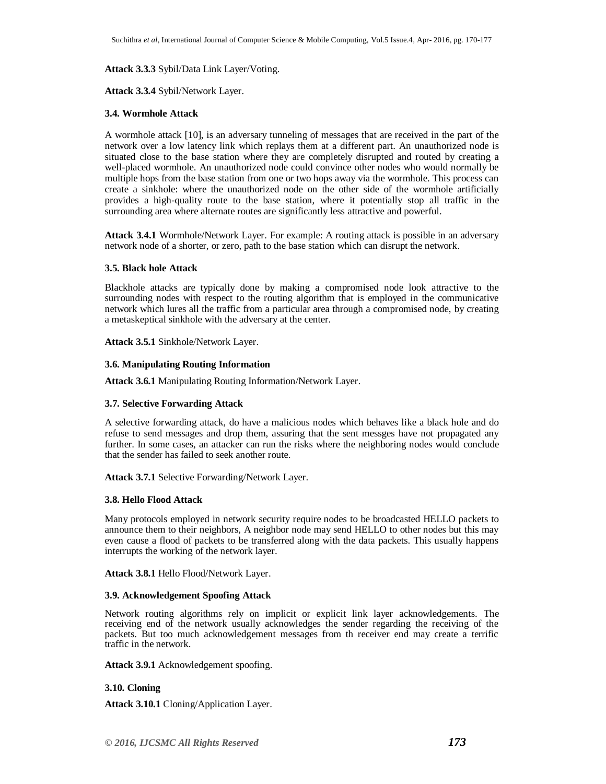#### **Attack 3.3.3** Sybil/Data Link Layer/Voting.

#### **Attack 3.3.4** Sybil/Network Layer.

#### **3.4. Wormhole Attack**

A wormhole attack [10], is an adversary tunneling of messages that are received in the part of the network over a low latency link which replays them at a different part. An unauthorized node is situated close to the base station where they are completely disrupted and routed by creating a well-placed wormhole. An unauthorized node could convince other nodes who would normally be multiple hops from the base station from one or two hops away via the wormhole. This process can create a sinkhole: where the unauthorized node on the other side of the wormhole artificially provides a high-quality route to the base station, where it potentially stop all traffic in the surrounding area where alternate routes are significantly less attractive and powerful.

**Attack 3.4.1** Wormhole/Network Layer. For example: A routing attack is possible in an adversary network node of a shorter, or zero, path to the base station which can disrupt the network.

#### **3.5. Black hole Attack**

Blackhole attacks are typically done by making a compromised node look attractive to the surrounding nodes with respect to the routing algorithm that is employed in the communicative network which lures all the traffic from a particular area through a compromised node, by creating a metaskeptical sinkhole with the adversary at the center.

**Attack 3.5.1** Sinkhole/Network Layer.

#### **3.6. Manipulating Routing Information**

**Attack 3.6.1** Manipulating Routing Information/Network Layer.

#### **3.7. Selective Forwarding Attack**

A selective forwarding attack, do have a malicious nodes which behaves like a black hole and do refuse to send messages and drop them, assuring that the sent messges have not propagated any further. In some cases, an attacker can run the risks where the neighboring nodes would conclude that the sender has failed to seek another route.

**Attack 3.7.1** Selective Forwarding/Network Layer.

#### **3.8. Hello Flood Attack**

Many protocols employed in network security require nodes to be broadcasted HELLO packets to announce them to their neighbors, A neighbor node may send HELLO to other nodes but this may even cause a flood of packets to be transferred along with the data packets. This usually happens interrupts the working of the network layer.

**Attack 3.8.1** Hello Flood/Network Layer.

#### **3.9. Acknowledgement Spoofing Attack**

Network routing algorithms rely on implicit or explicit link layer acknowledgements. The receiving end of the network usually acknowledges the sender regarding the receiving of the packets. But too much acknowledgement messages from th receiver end may create a terrific traffic in the network.

**Attack 3.9.1** Acknowledgement spoofing.

#### **3.10. Cloning**

**Attack 3.10.1** Cloning/Application Layer.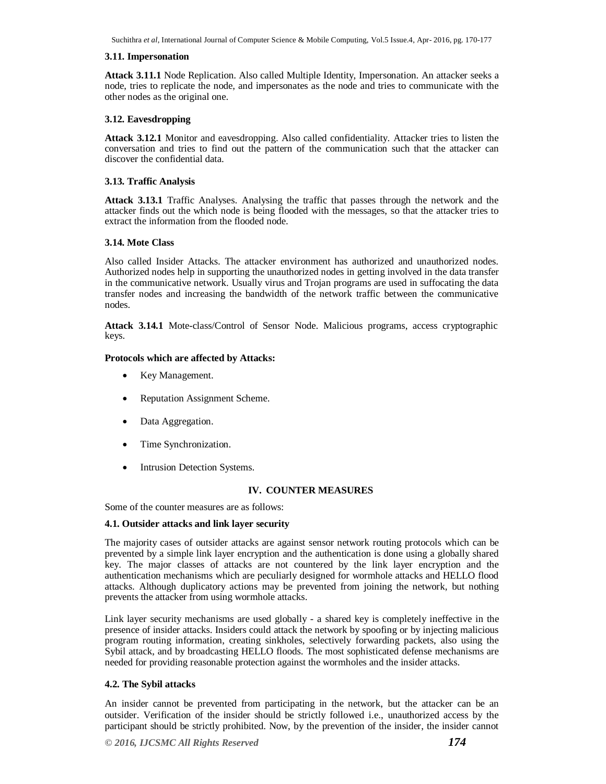Suchithra *et al*, International Journal of Computer Science & Mobile Computing, Vol.5 Issue.4, Apr- 2016, pg. 170-177

#### **3.11. Impersonation**

**Attack 3.11.1** Node Replication. Also called Multiple Identity, Impersonation. An attacker seeks a node, tries to replicate the node, and impersonates as the node and tries to communicate with the other nodes as the original one.

# **3.12. Eavesdropping**

**Attack 3.12.1** Monitor and eavesdropping. Also called confidentiality. Attacker tries to listen the conversation and tries to find out the pattern of the communication such that the attacker can discover the confidential data.

#### **3.13. Traffic Analysis**

**Attack 3.13.1** Traffic Analyses. Analysing the traffic that passes through the network and the attacker finds out the which node is being flooded with the messages, so that the attacker tries to extract the information from the flooded node.

## **3.14. Mote Class**

Also called Insider Attacks. The attacker environment has authorized and unauthorized nodes. Authorized nodes help in supporting the unauthorized nodes in getting involved in the data transfer in the communicative network. Usually virus and Trojan programs are used in suffocating the data transfer nodes and increasing the bandwidth of the network traffic between the communicative nodes.

**Attack 3.14.1** Mote-class/Control of Sensor Node. Malicious programs, access cryptographic keys.

# **Protocols which are affected by Attacks:**

- Key Management.
- Reputation Assignment Scheme.
- Data Aggregation.
- Time Synchronization.
- Intrusion Detection Systems.

# **IV. COUNTER MEASURES**

Some of the counter measures are as follows:

#### **4.1. Outsider attacks and link layer security**

The majority cases of outsider attacks are against sensor network routing protocols which can be prevented by a simple link layer encryption and the authentication is done using a globally shared key. The major classes of attacks are not countered by the link layer encryption and the authentication mechanisms which are peculiarly designed for wormhole attacks and HELLO flood attacks. Although duplicatory actions may be prevented from joining the network, but nothing prevents the attacker from using wormhole attacks.

Link layer security mechanisms are used globally - a shared key is completely ineffective in the presence of insider attacks. Insiders could attack the network by spoofing or by injecting malicious program routing information, creating sinkholes, selectively forwarding packets, also using the Sybil attack, and by broadcasting HELLO floods. The most sophisticated defense mechanisms are needed for providing reasonable protection against the wormholes and the insider attacks.

#### **4.2. The Sybil attacks**

An insider cannot be prevented from participating in the network, but the attacker can be an outsider. Verification of the insider should be strictly followed i.e., unauthorized access by the participant should be strictly prohibited. Now, by the prevention of the insider, the insider cannot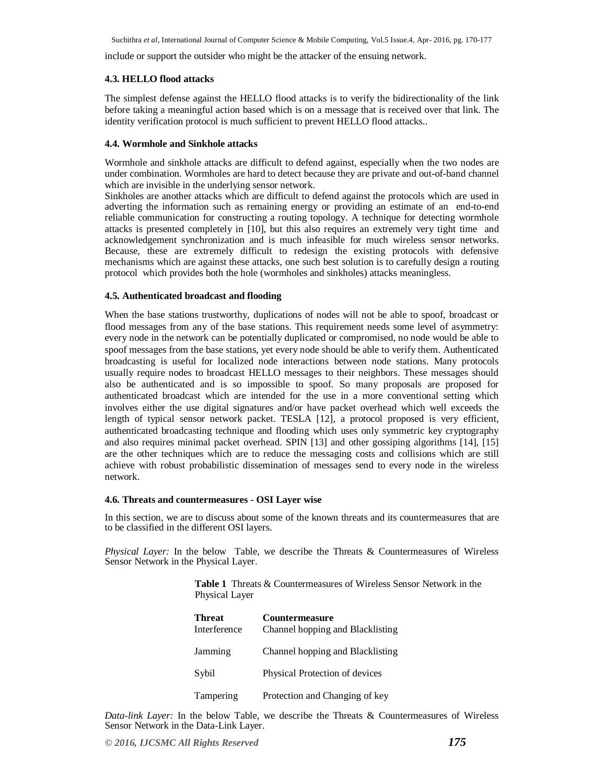include or support the outsider who might be the attacker of the ensuing network.

#### **4.3. HELLO flood attacks**

The simplest defense against the HELLO flood attacks is to verify the bidirectionality of the link before taking a meaningful action based which is on a message that is received over that link. The identity verification protocol is much sufficient to prevent HELLO flood attacks..

#### **4.4. Wormhole and Sinkhole attacks**

Wormhole and sinkhole attacks are difficult to defend against, especially when the two nodes are under combination. Wormholes are hard to detect because they are private and out-of-band channel which are invisible in the underlying sensor network.

Sinkholes are another attacks which are difficult to defend against the protocols which are used in adverting the information such as remaining energy or providing an estimate of an end-to-end reliable communication for constructing a routing topology. A technique for detecting wormhole attacks is presented completely in [10], but this also requires an extremely very tight time and acknowledgement synchronization and is much infeasible for much wireless sensor networks. Because, these are extremely difficult to redesign the existing protocols with defensive mechanisms which are against these attacks, one such best solution is to carefully design a routing protocol which provides both the hole (wormholes and sinkholes) attacks meaningless.

#### **4.5. Authenticated broadcast and flooding**

When the base stations trustworthy, duplications of nodes will not be able to spoof, broadcast or flood messages from any of the base stations. This requirement needs some level of asymmetry: every node in the network can be potentially duplicated or compromised, no node would be able to spoof messages from the base stations, yet every node should be able to verify them. Authenticated broadcasting is useful for localized node interactions between node stations. Many protocols usually require nodes to broadcast HELLO messages to their neighbors. These messages should also be authenticated and is so impossible to spoof. So many proposals are proposed for authenticated broadcast which are intended for the use in a more conventional setting which involves either the use digital signatures and/or have packet overhead which well exceeds the length of typical sensor network packet. TESLA [12], a protocol proposed is very efficient, authenticated broadcasting technique and flooding which uses only symmetric key cryptography and also requires minimal packet overhead. SPIN [13] and other gossiping algorithms [14], [15] are the other techniques which are to reduce the messaging costs and collisions which are still achieve with robust probabilistic dissemination of messages send to every node in the wireless network.

#### **4.6. Threats and countermeasures - OSI Layer wise**

In this section, we are to discuss about some of the known threats and its countermeasures that are to be classified in the different OSI layers.

*Physical Layer:* In the below Table, we describe the Threats & Countermeasures of Wireless Sensor Network in the Physical Layer.

> **Table 1** Threats & Countermeasures of Wireless Sensor Network in the Physical Layer

| <b>Threat</b><br>Interference | <b>Countermeasure</b><br>Channel hopping and Blacklisting |
|-------------------------------|-----------------------------------------------------------|
| Jamming                       | Channel hopping and Blacklisting                          |
| Sybil                         | Physical Protection of devices                            |
| Tampering                     | Protection and Changing of key                            |

*Data-link Layer:* In the below Table, we describe the Threats & Countermeasures of Wireless Sensor Network in the Data-Link Layer.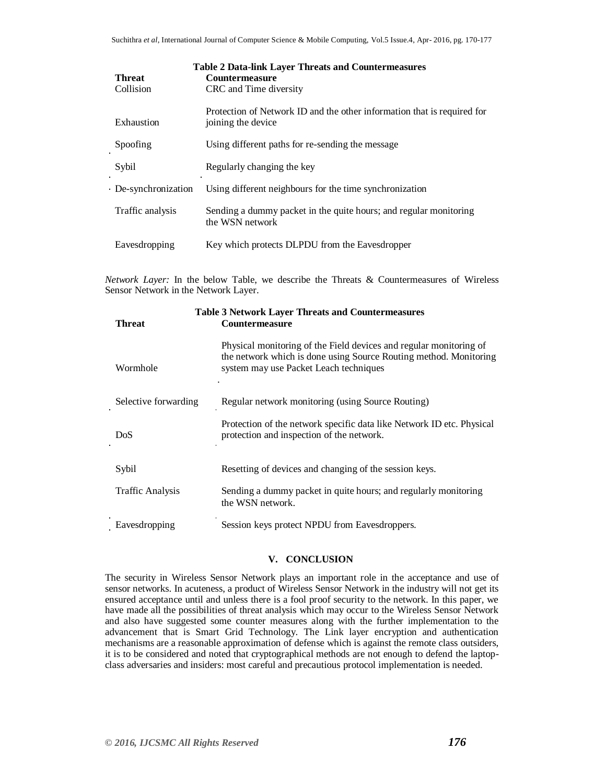| <b>Table 2 Data-link Layer Threats and Countermeasures</b> |                                                                                               |  |
|------------------------------------------------------------|-----------------------------------------------------------------------------------------------|--|
| <b>Threat</b>                                              | <b>Countermeasure</b>                                                                         |  |
| Collision                                                  | CRC and Time diversity                                                                        |  |
| Exhaustion                                                 | Protection of Network ID and the other information that is required for<br>joining the device |  |
| Spoofing                                                   | Using different paths for re-sending the message                                              |  |
| Sybil                                                      | Regularly changing the key                                                                    |  |
| De-synchronization                                         | Using different neighbours for the time synchronization                                       |  |
| Traffic analysis                                           | Sending a dummy packet in the quite hours; and regular monitoring<br>the WSN network          |  |
| Eavesdropping                                              | Key which protects DLPDU from the Eavesdropper                                                |  |
|                                                            |                                                                                               |  |

*Network Layer:* In the below Table, we describe the Threats & Countermeasures of Wireless Sensor Network in the Network Layer.

| <b>Table 3 Network Layer Threats and Countermeasures</b><br><b>Countermeasure</b><br><b>Threat</b> |                                                                                                                                                                                   |  |
|----------------------------------------------------------------------------------------------------|-----------------------------------------------------------------------------------------------------------------------------------------------------------------------------------|--|
| Wormhole                                                                                           | Physical monitoring of the Field devices and regular monitoring of<br>the network which is done using Source Routing method. Monitoring<br>system may use Packet Leach techniques |  |
| Selective forwarding                                                                               | Regular network monitoring (using Source Routing)                                                                                                                                 |  |
| DoS                                                                                                | Protection of the network specific data like Network ID etc. Physical<br>protection and inspection of the network.                                                                |  |
| Sybil                                                                                              | Resetting of devices and changing of the session keys.                                                                                                                            |  |
| <b>Traffic Analysis</b>                                                                            | Sending a dummy packet in quite hours; and regularly monitoring<br>the WSN network.                                                                                               |  |
| Eavesdropping                                                                                      | Session keys protect NPDU from Eavesdroppers.                                                                                                                                     |  |

# **V. CONCLUSION**

The security in Wireless Sensor Network plays an important role in the acceptance and use of sensor networks. In acuteness, a product of Wireless Sensor Network in the industry will not get its ensured acceptance until and unless there is a fool proof security to the network. In this paper, we have made all the possibilities of threat analysis which may occur to the Wireless Sensor Network and also have suggested some counter measures along with the further implementation to the advancement that is Smart Grid Technology. The Link layer encryption and authentication mechanisms are a reasonable approximation of defense which is against the remote class outsiders, it is to be considered and noted that cryptographical methods are not enough to defend the laptopclass adversaries and insiders: most careful and precautious protocol implementation is needed.